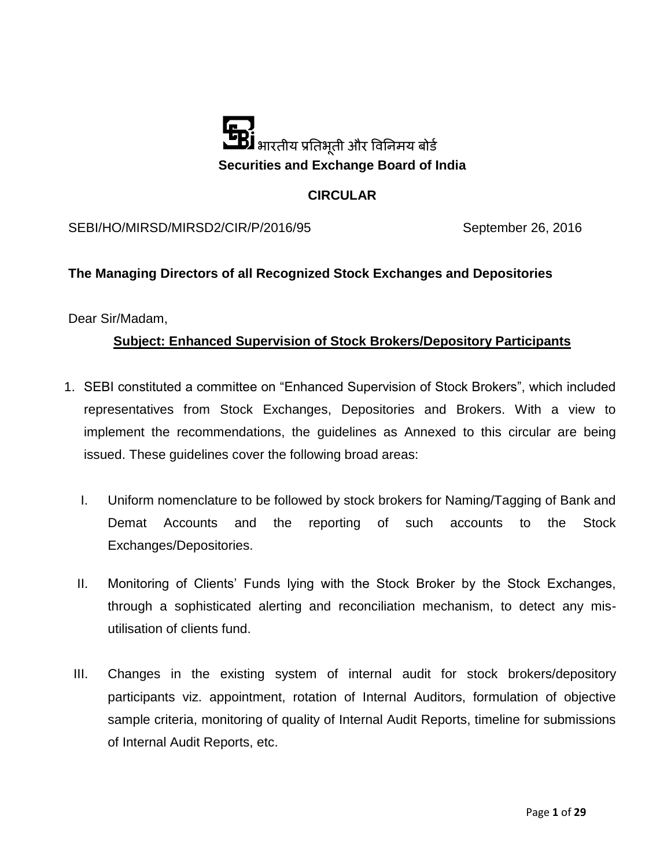

### **CIRCULAR**

SEBI/HO/MIRSD/MIRSD2/CIR/P/2016/95 September 26, 2016

### **The Managing Directors of all Recognized Stock Exchanges and Depositories**

Dear Sir/Madam,

### **Subject: Enhanced Supervision of Stock Brokers/Depository Participants**

- 1. SEBI constituted a committee on "Enhanced Supervision of Stock Brokers", which included representatives from Stock Exchanges, Depositories and Brokers. With a view to implement the recommendations, the guidelines as Annexed to this circular are being issued. These guidelines cover the following broad areas:
	- I. Uniform nomenclature to be followed by stock brokers for Naming/Tagging of Bank and Demat Accounts and the reporting of such accounts to the Stock Exchanges/Depositories.
	- II. Monitoring of Clients' Funds lying with the Stock Broker by the Stock Exchanges, through a sophisticated alerting and reconciliation mechanism, to detect any misutilisation of clients fund.
	- III. Changes in the existing system of internal audit for stock brokers/depository participants viz. appointment, rotation of Internal Auditors, formulation of objective sample criteria, monitoring of quality of Internal Audit Reports, timeline for submissions of Internal Audit Reports, etc.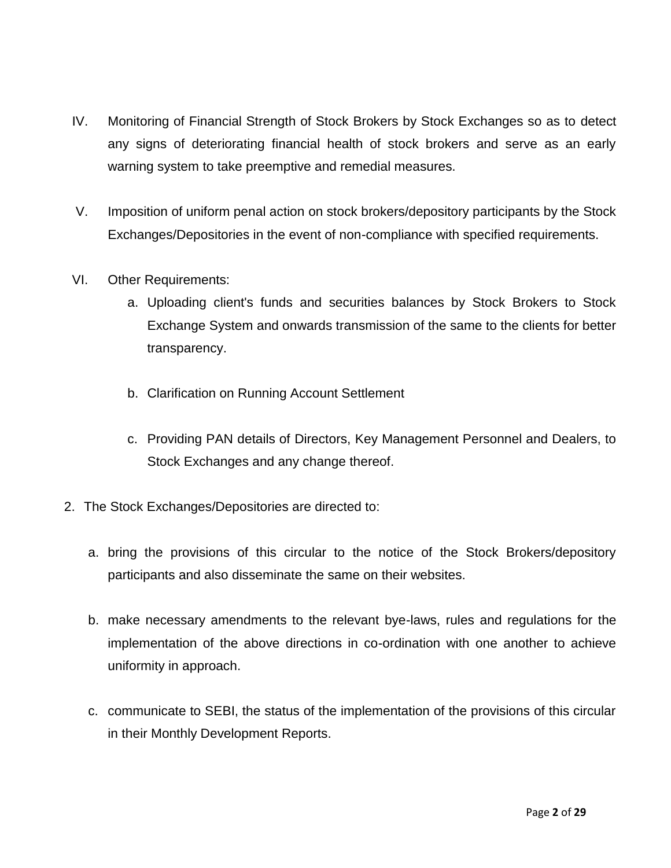- IV. Monitoring of Financial Strength of Stock Brokers by Stock Exchanges so as to detect any signs of deteriorating financial health of stock brokers and serve as an early warning system to take preemptive and remedial measures.
- V. Imposition of uniform penal action on stock brokers/depository participants by the Stock Exchanges/Depositories in the event of non-compliance with specified requirements.
- VI. Other Requirements:
	- a. Uploading client's funds and securities balances by Stock Brokers to Stock Exchange System and onwards transmission of the same to the clients for better transparency.
	- b. Clarification on Running Account Settlement
	- c. Providing PAN details of Directors, Key Management Personnel and Dealers, to Stock Exchanges and any change thereof.
- 2. The Stock Exchanges/Depositories are directed to:
	- a. bring the provisions of this circular to the notice of the Stock Brokers/depository participants and also disseminate the same on their websites.
	- b. make necessary amendments to the relevant bye-laws, rules and regulations for the implementation of the above directions in co-ordination with one another to achieve uniformity in approach.
	- c. communicate to SEBI, the status of the implementation of the provisions of this circular in their Monthly Development Reports.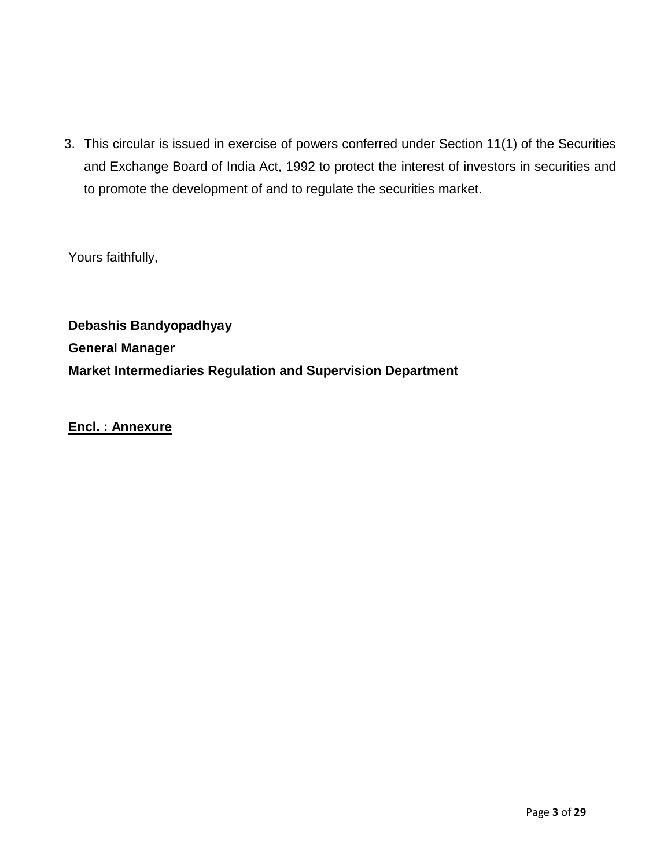3. This circular is issued in exercise of powers conferred under Section 11(1) of the Securities and Exchange Board of India Act, 1992 to protect the interest of investors in securities and to promote the development of and to regulate the securities market.

Yours faithfully,

**Debashis Bandyopadhyay General Manager Market Intermediaries Regulation and Supervision Department**

**Encl. : Annexure**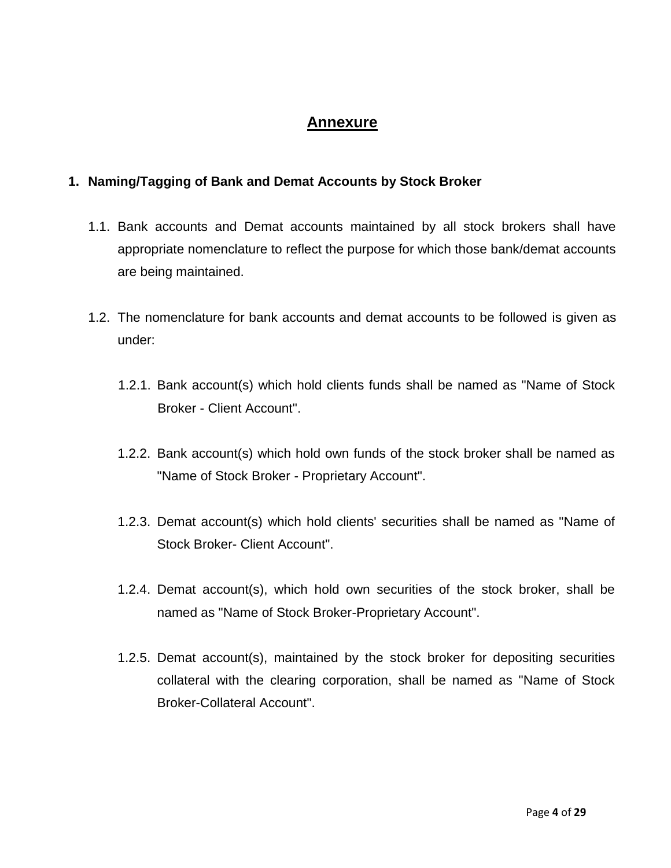# **Annexure**

### **1. Naming/Tagging of Bank and Demat Accounts by Stock Broker**

- 1.1. Bank accounts and Demat accounts maintained by all stock brokers shall have appropriate nomenclature to reflect the purpose for which those bank/demat accounts are being maintained.
- 1.2. The nomenclature for bank accounts and demat accounts to be followed is given as under:
	- 1.2.1. Bank account(s) which hold clients funds shall be named as "Name of Stock Broker - Client Account".
	- 1.2.2. Bank account(s) which hold own funds of the stock broker shall be named as "Name of Stock Broker - Proprietary Account".
	- 1.2.3. Demat account(s) which hold clients' securities shall be named as "Name of Stock Broker- Client Account".
	- 1.2.4. Demat account(s), which hold own securities of the stock broker, shall be named as "Name of Stock Broker-Proprietary Account".
	- 1.2.5. Demat account(s), maintained by the stock broker for depositing securities collateral with the clearing corporation, shall be named as "Name of Stock Broker-Collateral Account".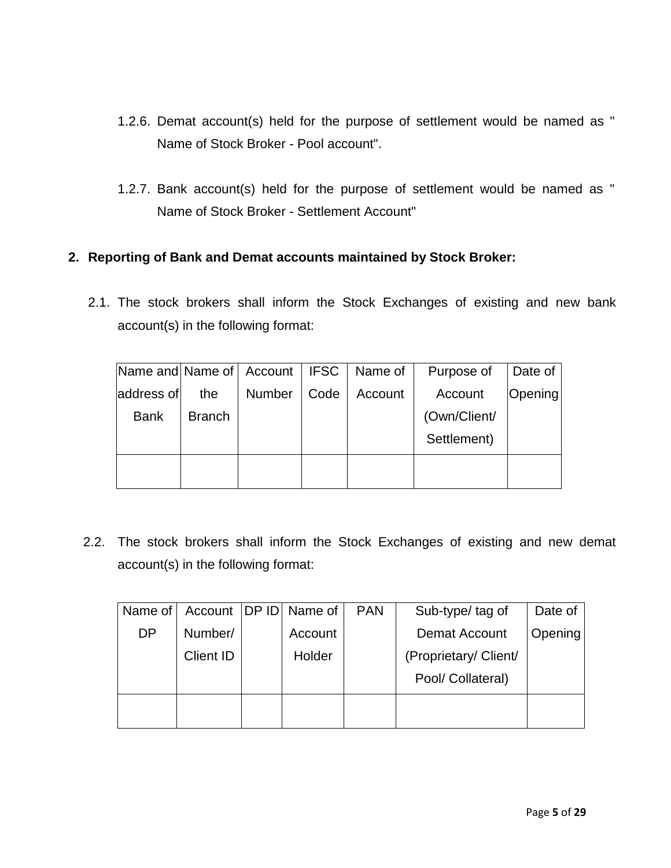- 1.2.6. Demat account(s) held for the purpose of settlement would be named as " Name of Stock Broker - Pool account".
- 1.2.7. Bank account(s) held for the purpose of settlement would be named as " Name of Stock Broker - Settlement Account"

### **2. Reporting of Bank and Demat accounts maintained by Stock Broker:**

2.1. The stock brokers shall inform the Stock Exchanges of existing and new bank account(s) in the following format:

| Name and Name of   Account   IFSC |               |               |      | Name of | Purpose of   | Date of |
|-----------------------------------|---------------|---------------|------|---------|--------------|---------|
| address of                        | the           | <b>Number</b> | Code | Account | Account      | Opening |
| <b>Bank</b>                       | <b>Branch</b> |               |      |         | (Own/Client/ |         |
|                                   |               |               |      |         | Settlement)  |         |
|                                   |               |               |      |         |              |         |
|                                   |               |               |      |         |              |         |

2.2. The stock brokers shall inform the Stock Exchanges of existing and new demat account(s) in the following format:

| Name of   |                  | Account   DP ID   Name of | <b>PAN</b> | Sub-type/ tag of      | Date of |
|-----------|------------------|---------------------------|------------|-----------------------|---------|
| <b>DP</b> | Number/          | Account                   |            | Demat Account         | Opening |
|           | <b>Client ID</b> | Holder                    |            | (Proprietary/ Client/ |         |
|           |                  |                           |            | Pool/ Collateral)     |         |
|           |                  |                           |            |                       |         |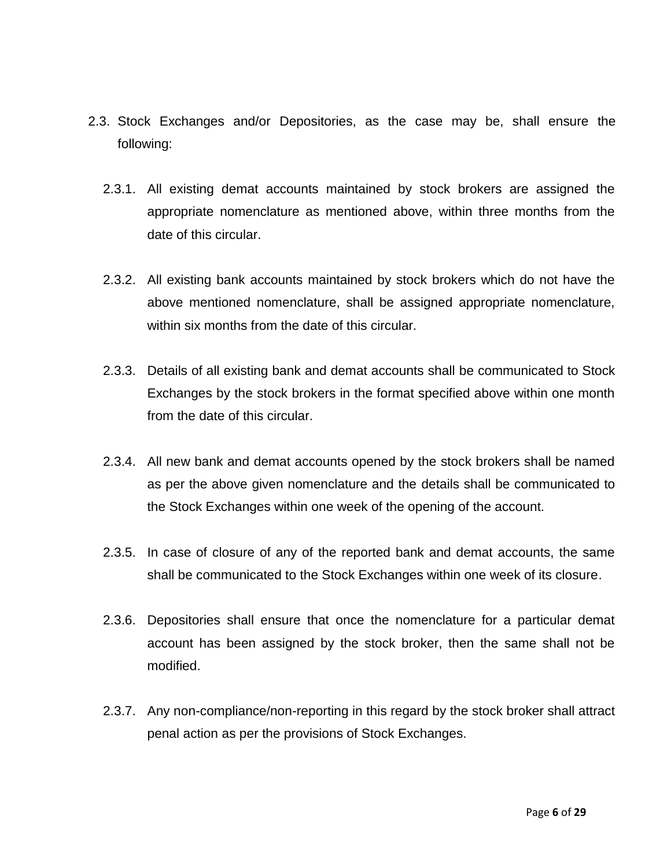- 2.3. Stock Exchanges and/or Depositories, as the case may be, shall ensure the following:
	- 2.3.1. All existing demat accounts maintained by stock brokers are assigned the appropriate nomenclature as mentioned above, within three months from the date of this circular.
	- 2.3.2. All existing bank accounts maintained by stock brokers which do not have the above mentioned nomenclature, shall be assigned appropriate nomenclature, within six months from the date of this circular.
	- 2.3.3. Details of all existing bank and demat accounts shall be communicated to Stock Exchanges by the stock brokers in the format specified above within one month from the date of this circular.
	- 2.3.4. All new bank and demat accounts opened by the stock brokers shall be named as per the above given nomenclature and the details shall be communicated to the Stock Exchanges within one week of the opening of the account.
	- 2.3.5. In case of closure of any of the reported bank and demat accounts, the same shall be communicated to the Stock Exchanges within one week of its closure.
	- 2.3.6. Depositories shall ensure that once the nomenclature for a particular demat account has been assigned by the stock broker, then the same shall not be modified.
	- 2.3.7. Any non-compliance/non-reporting in this regard by the stock broker shall attract penal action as per the provisions of Stock Exchanges.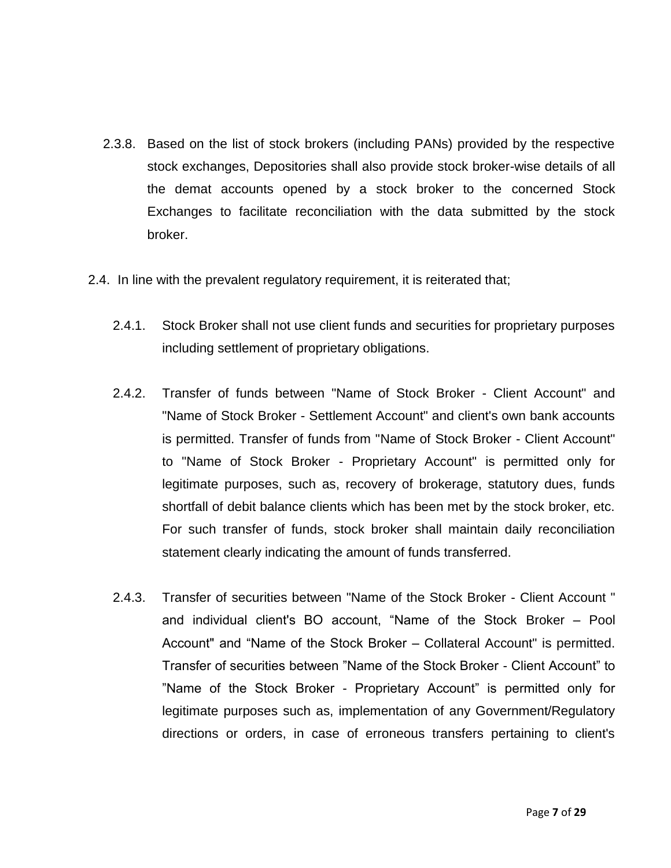- 2.3.8. Based on the list of stock brokers (including PANs) provided by the respective stock exchanges, Depositories shall also provide stock broker-wise details of all the demat accounts opened by a stock broker to the concerned Stock Exchanges to facilitate reconciliation with the data submitted by the stock broker.
- 2.4. In line with the prevalent regulatory requirement, it is reiterated that;
	- 2.4.1. Stock Broker shall not use client funds and securities for proprietary purposes including settlement of proprietary obligations.
	- 2.4.2. Transfer of funds between "Name of Stock Broker Client Account" and "Name of Stock Broker - Settlement Account" and client's own bank accounts is permitted. Transfer of funds from "Name of Stock Broker - Client Account" to "Name of Stock Broker - Proprietary Account" is permitted only for legitimate purposes, such as, recovery of brokerage, statutory dues, funds shortfall of debit balance clients which has been met by the stock broker, etc. For such transfer of funds, stock broker shall maintain daily reconciliation statement clearly indicating the amount of funds transferred.
	- 2.4.3. Transfer of securities between "Name of the Stock Broker Client Account " and individual client's BO account, "Name of the Stock Broker – Pool Account" and "Name of the Stock Broker – Collateral Account" is permitted. Transfer of securities between "Name of the Stock Broker - Client Account" to "Name of the Stock Broker - Proprietary Account" is permitted only for legitimate purposes such as, implementation of any Government/Regulatory directions or orders, in case of erroneous transfers pertaining to client's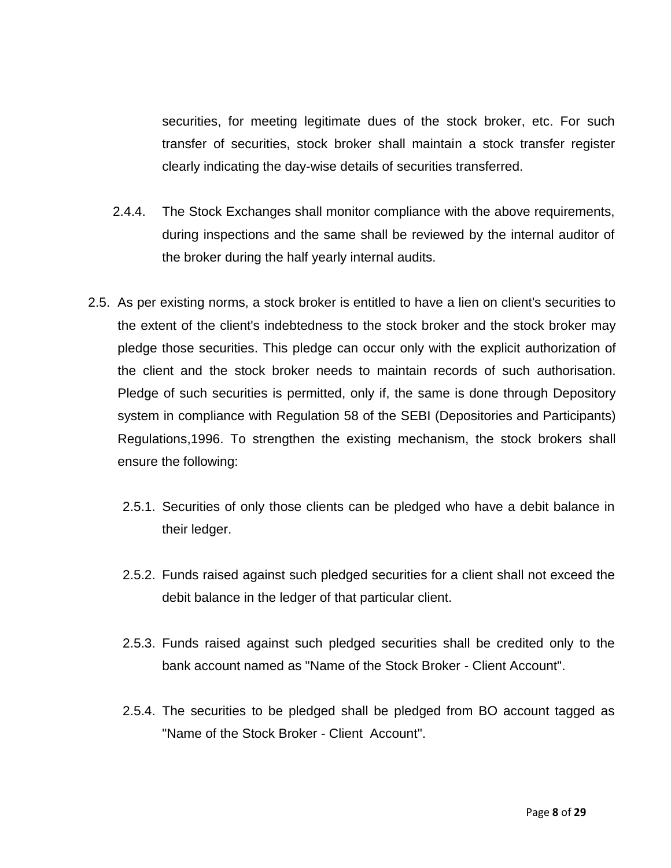securities, for meeting legitimate dues of the stock broker, etc. For such transfer of securities, stock broker shall maintain a stock transfer register clearly indicating the day-wise details of securities transferred.

- 2.4.4. The Stock Exchanges shall monitor compliance with the above requirements, during inspections and the same shall be reviewed by the internal auditor of the broker during the half yearly internal audits.
- 2.5. As per existing norms, a stock broker is entitled to have a lien on client's securities to the extent of the client's indebtedness to the stock broker and the stock broker may pledge those securities. This pledge can occur only with the explicit authorization of the client and the stock broker needs to maintain records of such authorisation. Pledge of such securities is permitted, only if, the same is done through Depository system in compliance with Regulation 58 of the SEBI (Depositories and Participants) Regulations,1996. To strengthen the existing mechanism, the stock brokers shall ensure the following:
	- 2.5.1. Securities of only those clients can be pledged who have a debit balance in their ledger.
	- 2.5.2. Funds raised against such pledged securities for a client shall not exceed the debit balance in the ledger of that particular client.
	- 2.5.3. Funds raised against such pledged securities shall be credited only to the bank account named as "Name of the Stock Broker - Client Account".
	- 2.5.4. The securities to be pledged shall be pledged from BO account tagged as "Name of the Stock Broker - Client Account".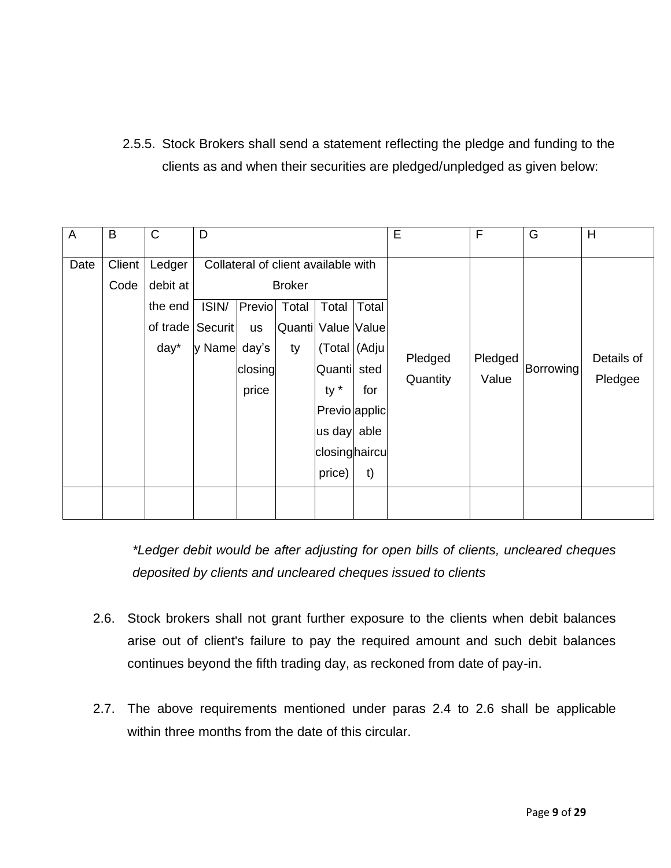2.5.5. Stock Brokers shall send a statement reflecting the pledge and funding to the clients as and when their securities are pledged/unpledged as given below:

| A    | B              | C                                                 | D                          |                                                  |                                                                                           |                                                                                                                                 |                            | E                   | F                | G         | H                     |
|------|----------------|---------------------------------------------------|----------------------------|--------------------------------------------------|-------------------------------------------------------------------------------------------|---------------------------------------------------------------------------------------------------------------------------------|----------------------------|---------------------|------------------|-----------|-----------------------|
| Date | Client<br>Code | Ledger<br>debit at<br>the end<br>of trade<br>day* | ISIN/<br>Securit<br>y Name | Previo<br><b>us</b><br>day's<br>closing<br>price | Collateral of client available with<br><b>Broker</b><br>Total<br>Quanti Value Value<br>ty | Total<br>(Total   (Adju)<br>Quanti<br>$ty *$<br>Previo applic<br>$\left  \text{us day} \right $ able<br>closinghaircu<br>price) | Total<br>sted<br>for<br>t) | Pledged<br>Quantity | Pledged<br>Value | Borrowing | Details of<br>Pledgee |

*\*Ledger debit would be after adjusting for open bills of clients, uncleared cheques deposited by clients and uncleared cheques issued to clients*

- 2.6. Stock brokers shall not grant further exposure to the clients when debit balances arise out of client's failure to pay the required amount and such debit balances continues beyond the fifth trading day, as reckoned from date of pay-in.
- 2.7. The above requirements mentioned under paras 2.4 to 2.6 shall be applicable within three months from the date of this circular.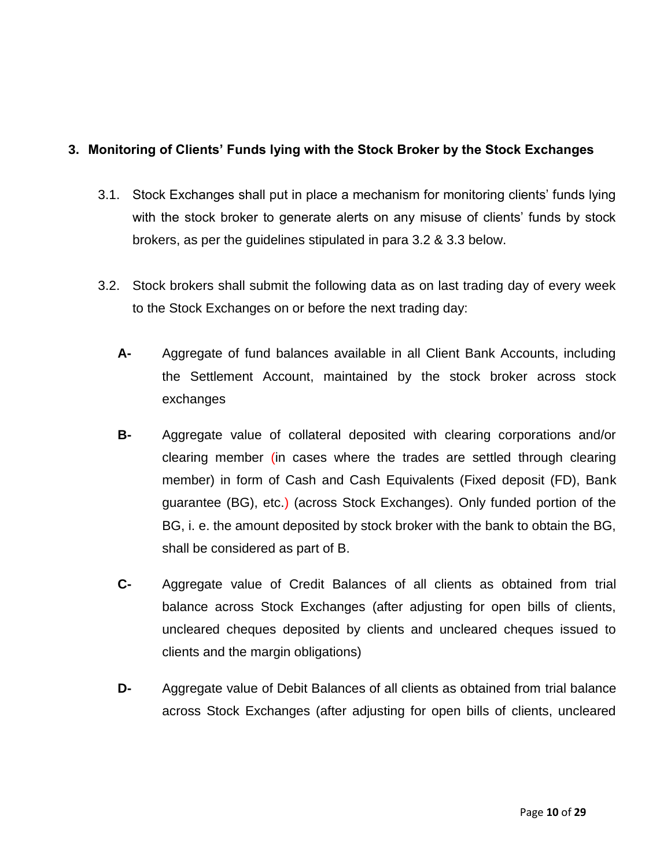## **3. Monitoring of Clients' Funds lying with the Stock Broker by the Stock Exchanges**

- 3.1. Stock Exchanges shall put in place a mechanism for monitoring clients' funds lying with the stock broker to generate alerts on any misuse of clients' funds by stock brokers, as per the guidelines stipulated in para 3.2 & 3.3 below.
- 3.2. Stock brokers shall submit the following data as on last trading day of every week to the Stock Exchanges on or before the next trading day:
	- **A-** Aggregate of fund balances available in all Client Bank Accounts, including the Settlement Account, maintained by the stock broker across stock exchanges
	- **B-** Aggregate value of collateral deposited with clearing corporations and/or clearing member (in cases where the trades are settled through clearing member) in form of Cash and Cash Equivalents (Fixed deposit (FD), Bank guarantee (BG), etc.) (across Stock Exchanges). Only funded portion of the BG, i. e. the amount deposited by stock broker with the bank to obtain the BG, shall be considered as part of B.
	- **C-** Aggregate value of Credit Balances of all clients as obtained from trial balance across Stock Exchanges (after adjusting for open bills of clients, uncleared cheques deposited by clients and uncleared cheques issued to clients and the margin obligations)
	- **D-** Aggregate value of Debit Balances of all clients as obtained from trial balance across Stock Exchanges (after adjusting for open bills of clients, uncleared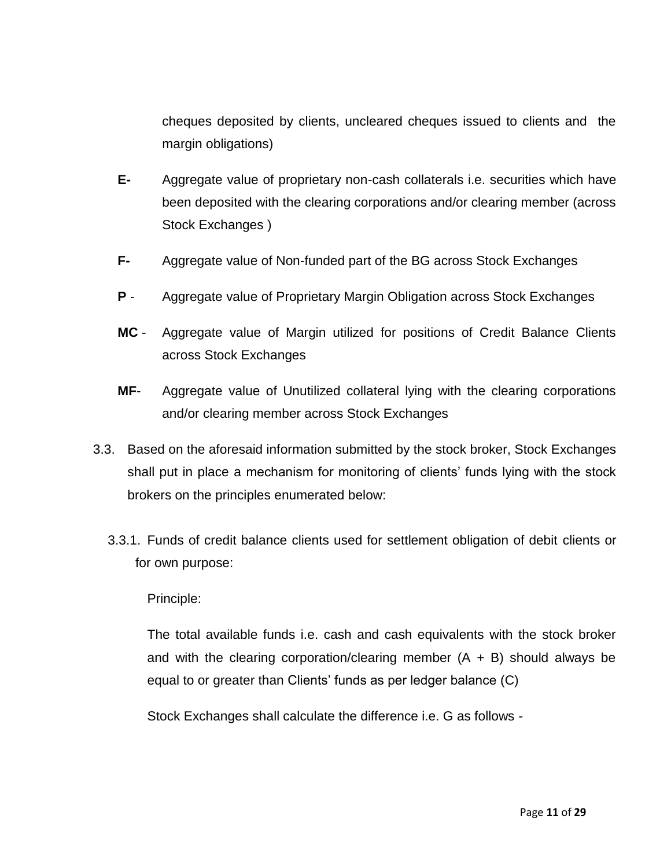cheques deposited by clients, uncleared cheques issued to clients and the margin obligations)

- **E-** Aggregate value of proprietary non-cash collaterals i.e. securities which have been deposited with the clearing corporations and/or clearing member (across Stock Exchanges )
- **F-** Aggregate value of Non-funded part of the BG across Stock Exchanges
- **P** Aggregate value of Proprietary Margin Obligation across Stock Exchanges
- **MC** Aggregate value of Margin utilized for positions of Credit Balance Clients across Stock Exchanges
- **MF** Aggregate value of Unutilized collateral lying with the clearing corporations and/or clearing member across Stock Exchanges
- 3.3. Based on the aforesaid information submitted by the stock broker, Stock Exchanges shall put in place a mechanism for monitoring of clients' funds lying with the stock brokers on the principles enumerated below:
	- 3.3.1. Funds of credit balance clients used for settlement obligation of debit clients or for own purpose:

### Principle:

The total available funds i.e. cash and cash equivalents with the stock broker and with the clearing corporation/clearing member  $(A + B)$  should always be equal to or greater than Clients' funds as per ledger balance (C)

Stock Exchanges shall calculate the difference i.e. G as follows -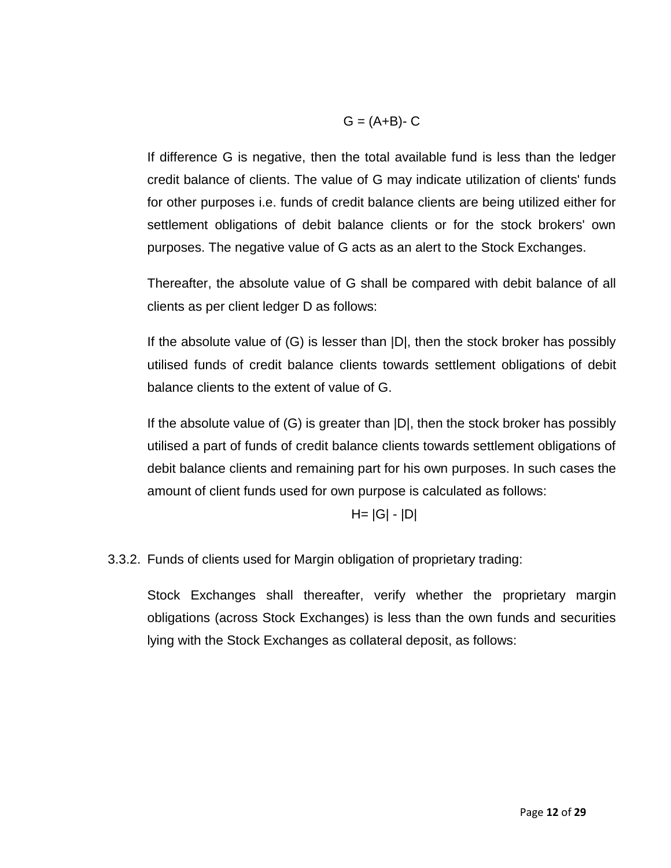$$
G = (A+B)-C
$$

If difference G is negative, then the total available fund is less than the ledger credit balance of clients. The value of G may indicate utilization of clients' funds for other purposes i.e. funds of credit balance clients are being utilized either for settlement obligations of debit balance clients or for the stock brokers' own purposes. The negative value of G acts as an alert to the Stock Exchanges.

Thereafter, the absolute value of G shall be compared with debit balance of all clients as per client ledger D as follows:

If the absolute value of (G) is lesser than |D|, then the stock broker has possibly utilised funds of credit balance clients towards settlement obligations of debit balance clients to the extent of value of G.

If the absolute value of (G) is greater than |D|, then the stock broker has possibly utilised a part of funds of credit balance clients towards settlement obligations of debit balance clients and remaining part for his own purposes. In such cases the amount of client funds used for own purpose is calculated as follows:

$$
H = |G| - |D|
$$

3.3.2. Funds of clients used for Margin obligation of proprietary trading:

Stock Exchanges shall thereafter, verify whether the proprietary margin obligations (across Stock Exchanges) is less than the own funds and securities lying with the Stock Exchanges as collateral deposit, as follows: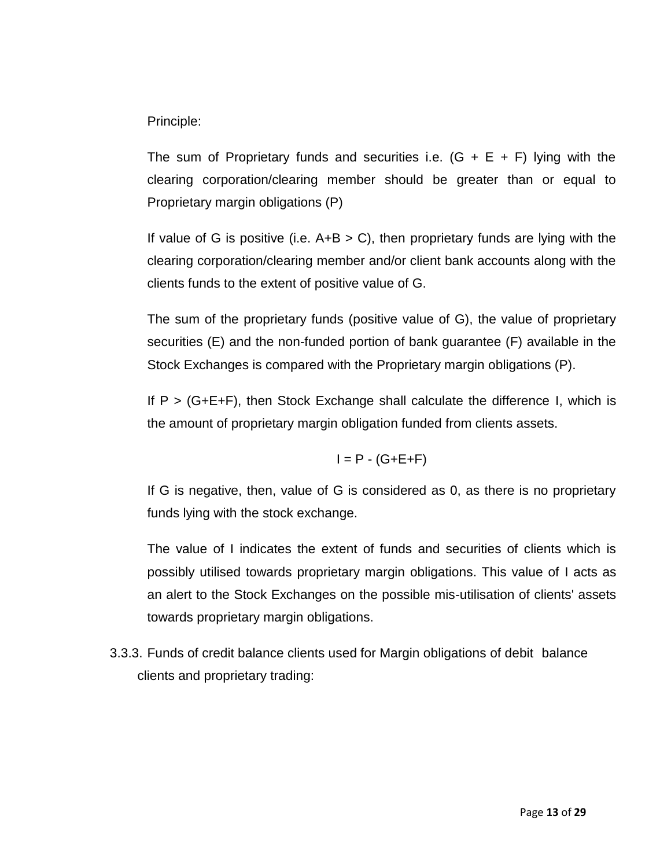Principle:

The sum of Proprietary funds and securities i.e.  $(G + E + F)$  lying with the clearing corporation/clearing member should be greater than or equal to Proprietary margin obligations (P)

If value of G is positive (i.e.  $A+B > C$ ), then proprietary funds are lying with the clearing corporation/clearing member and/or client bank accounts along with the clients funds to the extent of positive value of G.

The sum of the proprietary funds (positive value of G), the value of proprietary securities (E) and the non-funded portion of bank guarantee (F) available in the Stock Exchanges is compared with the Proprietary margin obligations (P).

If  $P > (G+E+F)$ , then Stock Exchange shall calculate the difference I, which is the amount of proprietary margin obligation funded from clients assets.

$$
I = P - (G + E + F)
$$

If G is negative, then, value of G is considered as 0, as there is no proprietary funds lying with the stock exchange.

The value of I indicates the extent of funds and securities of clients which is possibly utilised towards proprietary margin obligations. This value of I acts as an alert to the Stock Exchanges on the possible mis-utilisation of clients' assets towards proprietary margin obligations.

3.3.3. Funds of credit balance clients used for Margin obligations of debit balance clients and proprietary trading: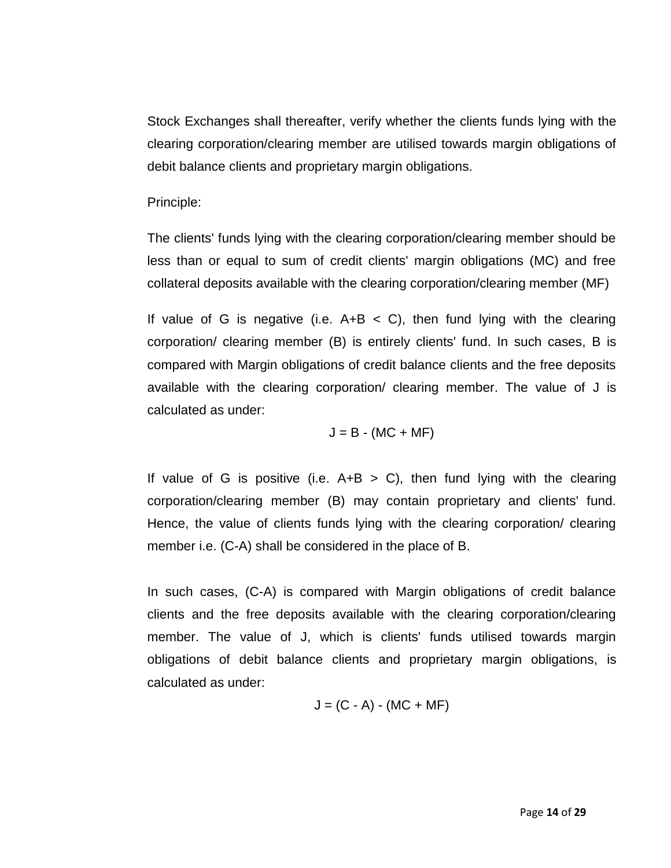Stock Exchanges shall thereafter, verify whether the clients funds lying with the clearing corporation/clearing member are utilised towards margin obligations of debit balance clients and proprietary margin obligations.

### Principle:

The clients' funds lying with the clearing corporation/clearing member should be less than or equal to sum of credit clients' margin obligations (MC) and free collateral deposits available with the clearing corporation/clearing member (MF)

If value of G is negative (i.e.  $A+B < C$ ), then fund lying with the clearing corporation/ clearing member (B) is entirely clients' fund. In such cases, B is compared with Margin obligations of credit balance clients and the free deposits available with the clearing corporation/ clearing member. The value of J is calculated as under:

$$
J = B - (MC + MF)
$$

If value of G is positive (i.e.  $A+B > C$ ), then fund lying with the clearing corporation/clearing member (B) may contain proprietary and clients' fund. Hence, the value of clients funds lying with the clearing corporation/ clearing member i.e. (C-A) shall be considered in the place of B.

In such cases, (C-A) is compared with Margin obligations of credit balance clients and the free deposits available with the clearing corporation/clearing member. The value of J, which is clients' funds utilised towards margin obligations of debit balance clients and proprietary margin obligations, is calculated as under:

$$
J = (C - A) - (MC + MF)
$$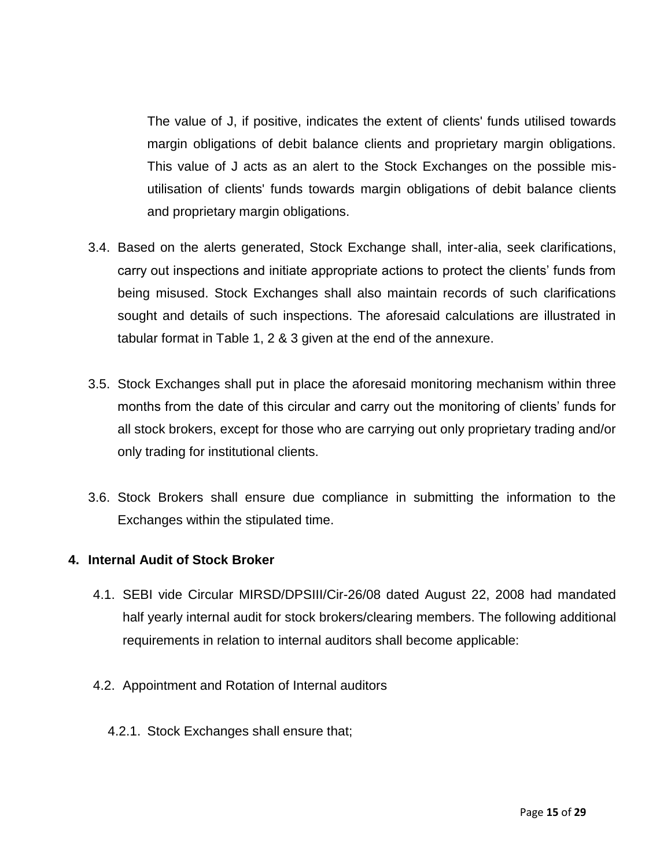The value of J, if positive, indicates the extent of clients' funds utilised towards margin obligations of debit balance clients and proprietary margin obligations. This value of J acts as an alert to the Stock Exchanges on the possible misutilisation of clients' funds towards margin obligations of debit balance clients and proprietary margin obligations.

- 3.4. Based on the alerts generated, Stock Exchange shall, inter-alia, seek clarifications, carry out inspections and initiate appropriate actions to protect the clients' funds from being misused. Stock Exchanges shall also maintain records of such clarifications sought and details of such inspections. The aforesaid calculations are illustrated in tabular format in Table 1, 2 & 3 given at the end of the annexure.
- 3.5. Stock Exchanges shall put in place the aforesaid monitoring mechanism within three months from the date of this circular and carry out the monitoring of clients' funds for all stock brokers, except for those who are carrying out only proprietary trading and/or only trading for institutional clients.
- 3.6. Stock Brokers shall ensure due compliance in submitting the information to the Exchanges within the stipulated time.

### **4. Internal Audit of Stock Broker**

- 4.1. SEBI vide Circular MIRSD/DPSIII/Cir-26/08 dated August 22, 2008 had mandated half yearly internal audit for stock brokers/clearing members. The following additional requirements in relation to internal auditors shall become applicable:
- 4.2. Appointment and Rotation of Internal auditors
	- 4.2.1. Stock Exchanges shall ensure that;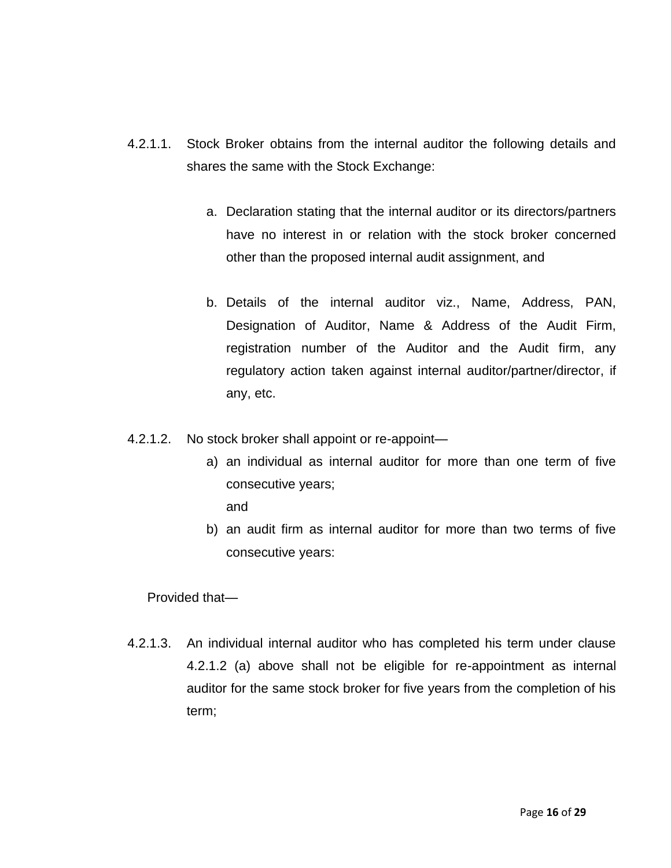- 4.2.1.1. Stock Broker obtains from the internal auditor the following details and shares the same with the Stock Exchange:
	- a. Declaration stating that the internal auditor or its directors/partners have no interest in or relation with the stock broker concerned other than the proposed internal audit assignment, and
	- b. Details of the internal auditor viz., Name, Address, PAN, Designation of Auditor, Name & Address of the Audit Firm, registration number of the Auditor and the Audit firm, any regulatory action taken against internal auditor/partner/director, if any, etc.
- 4.2.1.2. No stock broker shall appoint or re-appoint
	- a) an individual as internal auditor for more than one term of five consecutive years;

and

b) an audit firm as internal auditor for more than two terms of five consecutive years:

Provided that—

4.2.1.3. An individual internal auditor who has completed his term under clause 4.2.1.2 (a) above shall not be eligible for re-appointment as internal auditor for the same stock broker for five years from the completion of his term;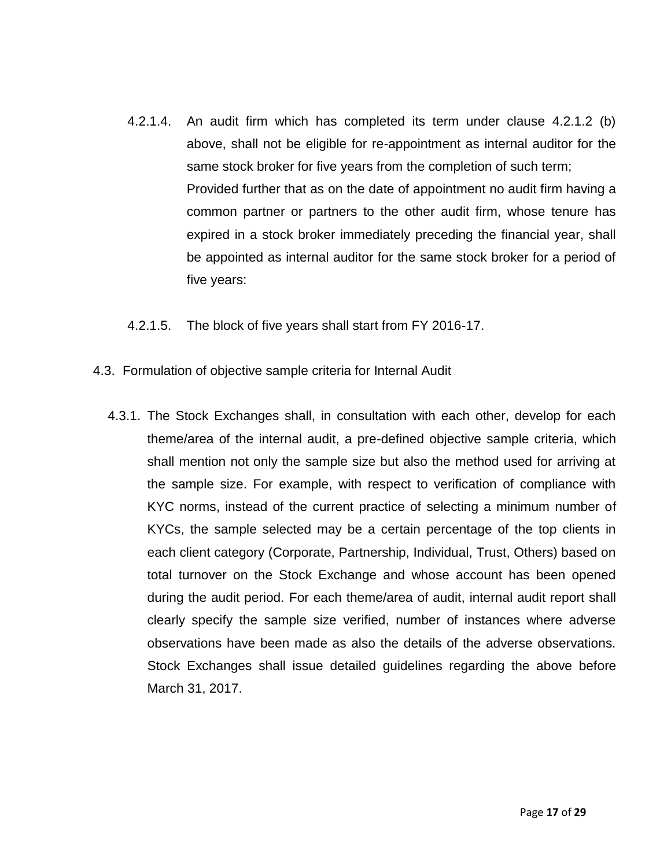- 4.2.1.4. An audit firm which has completed its term under clause 4.2.1.2 (b) above, shall not be eligible for re-appointment as internal auditor for the same stock broker for five years from the completion of such term; Provided further that as on the date of appointment no audit firm having a common partner or partners to the other audit firm, whose tenure has expired in a stock broker immediately preceding the financial year, shall be appointed as internal auditor for the same stock broker for a period of five years:
- 4.2.1.5. The block of five years shall start from FY 2016-17.
- 4.3. Formulation of objective sample criteria for Internal Audit
	- 4.3.1. The Stock Exchanges shall, in consultation with each other, develop for each theme/area of the internal audit, a pre-defined objective sample criteria, which shall mention not only the sample size but also the method used for arriving at the sample size. For example, with respect to verification of compliance with KYC norms, instead of the current practice of selecting a minimum number of KYCs, the sample selected may be a certain percentage of the top clients in each client category (Corporate, Partnership, Individual, Trust, Others) based on total turnover on the Stock Exchange and whose account has been opened during the audit period. For each theme/area of audit, internal audit report shall clearly specify the sample size verified, number of instances where adverse observations have been made as also the details of the adverse observations. Stock Exchanges shall issue detailed guidelines regarding the above before March 31, 2017.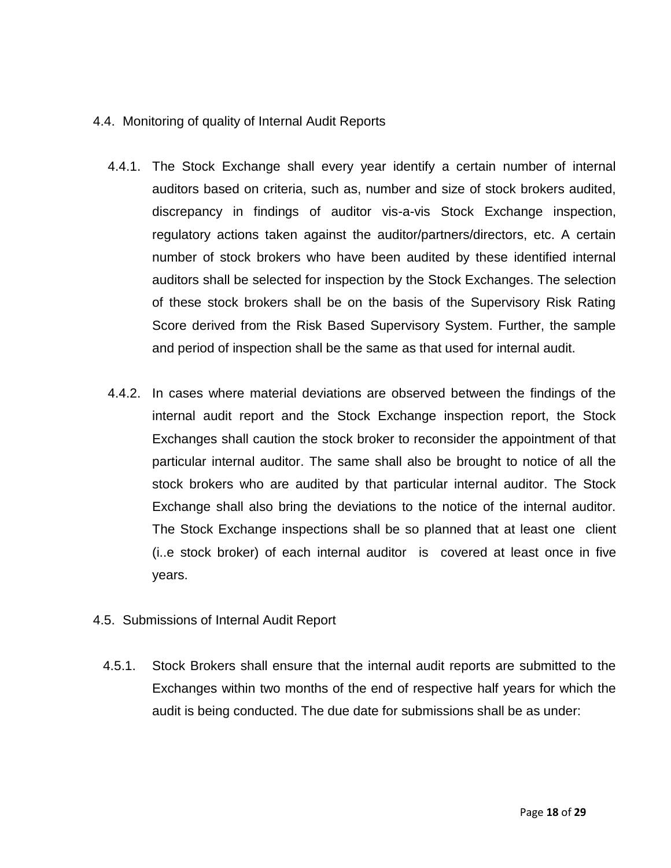### 4.4. Monitoring of quality of Internal Audit Reports

- 4.4.1. The Stock Exchange shall every year identify a certain number of internal auditors based on criteria, such as, number and size of stock brokers audited, discrepancy in findings of auditor vis-a-vis Stock Exchange inspection, regulatory actions taken against the auditor/partners/directors, etc. A certain number of stock brokers who have been audited by these identified internal auditors shall be selected for inspection by the Stock Exchanges. The selection of these stock brokers shall be on the basis of the Supervisory Risk Rating Score derived from the Risk Based Supervisory System. Further, the sample and period of inspection shall be the same as that used for internal audit.
- 4.4.2. In cases where material deviations are observed between the findings of the internal audit report and the Stock Exchange inspection report, the Stock Exchanges shall caution the stock broker to reconsider the appointment of that particular internal auditor. The same shall also be brought to notice of all the stock brokers who are audited by that particular internal auditor. The Stock Exchange shall also bring the deviations to the notice of the internal auditor. The Stock Exchange inspections shall be so planned that at least one client (i..e stock broker) of each internal auditor is covered at least once in five years.
- 4.5. Submissions of Internal Audit Report
	- 4.5.1. Stock Brokers shall ensure that the internal audit reports are submitted to the Exchanges within two months of the end of respective half years for which the audit is being conducted. The due date for submissions shall be as under: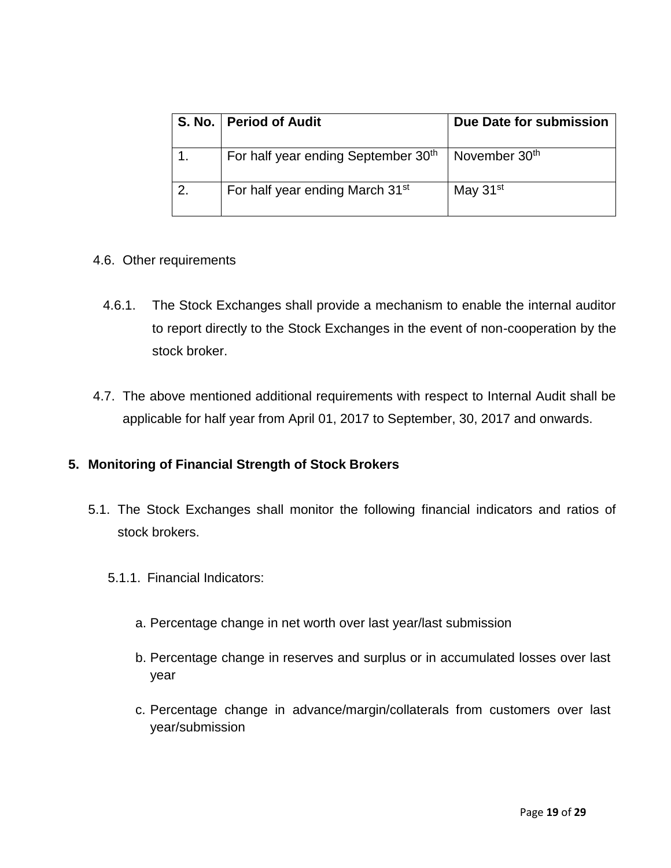|    | S. No.   Period of Audit                    | Due Date for submission |
|----|---------------------------------------------|-------------------------|
|    | For half year ending September 30th         | November $30th$         |
| 2. | For half year ending March 31 <sup>st</sup> | May 31 <sup>st</sup>    |

### 4.6. Other requirements

- 4.6.1. The Stock Exchanges shall provide a mechanism to enable the internal auditor to report directly to the Stock Exchanges in the event of non-cooperation by the stock broker.
- 4.7. The above mentioned additional requirements with respect to Internal Audit shall be applicable for half year from April 01, 2017 to September, 30, 2017 and onwards.

### **5. Monitoring of Financial Strength of Stock Brokers**

- 5.1. The Stock Exchanges shall monitor the following financial indicators and ratios of stock brokers.
	- 5.1.1. Financial Indicators:
		- a. Percentage change in net worth over last year/last submission
		- b. Percentage change in reserves and surplus or in accumulated losses over last year
		- c. Percentage change in advance/margin/collaterals from customers over last year/submission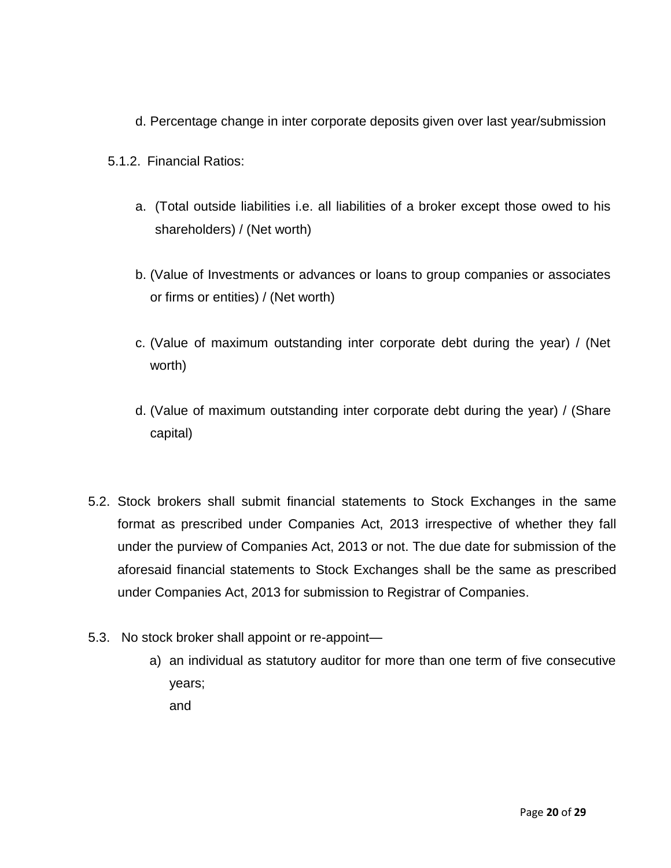- d. Percentage change in inter corporate deposits given over last year/submission
- 5.1.2. Financial Ratios:
	- a. (Total outside liabilities i.e. all liabilities of a broker except those owed to his shareholders) / (Net worth)
	- b. (Value of Investments or advances or loans to group companies or associates or firms or entities) / (Net worth)
	- c. (Value of maximum outstanding inter corporate debt during the year) / (Net worth)
	- d. (Value of maximum outstanding inter corporate debt during the year) / (Share capital)
- 5.2. Stock brokers shall submit financial statements to Stock Exchanges in the same format as prescribed under Companies Act, 2013 irrespective of whether they fall under the purview of Companies Act, 2013 or not. The due date for submission of the aforesaid financial statements to Stock Exchanges shall be the same as prescribed under Companies Act, 2013 for submission to Registrar of Companies.
- 5.3. No stock broker shall appoint or re-appoint
	- a) an individual as statutory auditor for more than one term of five consecutive years;

and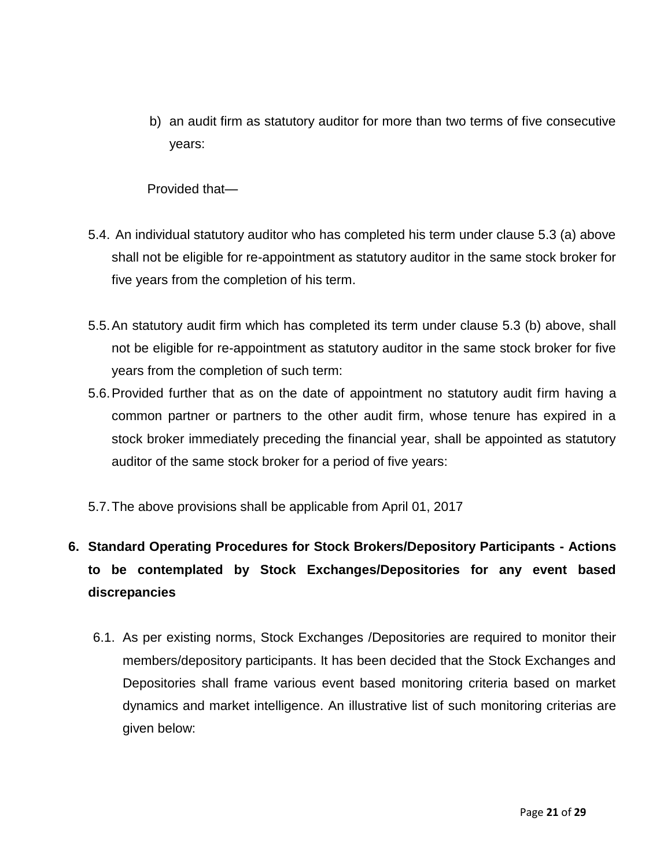b) an audit firm as statutory auditor for more than two terms of five consecutive years:

Provided that—

- 5.4. An individual statutory auditor who has completed his term under clause 5.3 (a) above shall not be eligible for re-appointment as statutory auditor in the same stock broker for five years from the completion of his term.
- 5.5.An statutory audit firm which has completed its term under clause 5.3 (b) above, shall not be eligible for re-appointment as statutory auditor in the same stock broker for five years from the completion of such term:
- 5.6.Provided further that as on the date of appointment no statutory audit firm having a common partner or partners to the other audit firm, whose tenure has expired in a stock broker immediately preceding the financial year, shall be appointed as statutory auditor of the same stock broker for a period of five years:
- 5.7.The above provisions shall be applicable from April 01, 2017

# **6. Standard Operating Procedures for Stock Brokers/Depository Participants - Actions to be contemplated by Stock Exchanges/Depositories for any event based discrepancies**

6.1. As per existing norms, Stock Exchanges /Depositories are required to monitor their members/depository participants. It has been decided that the Stock Exchanges and Depositories shall frame various event based monitoring criteria based on market dynamics and market intelligence. An illustrative list of such monitoring criterias are given below: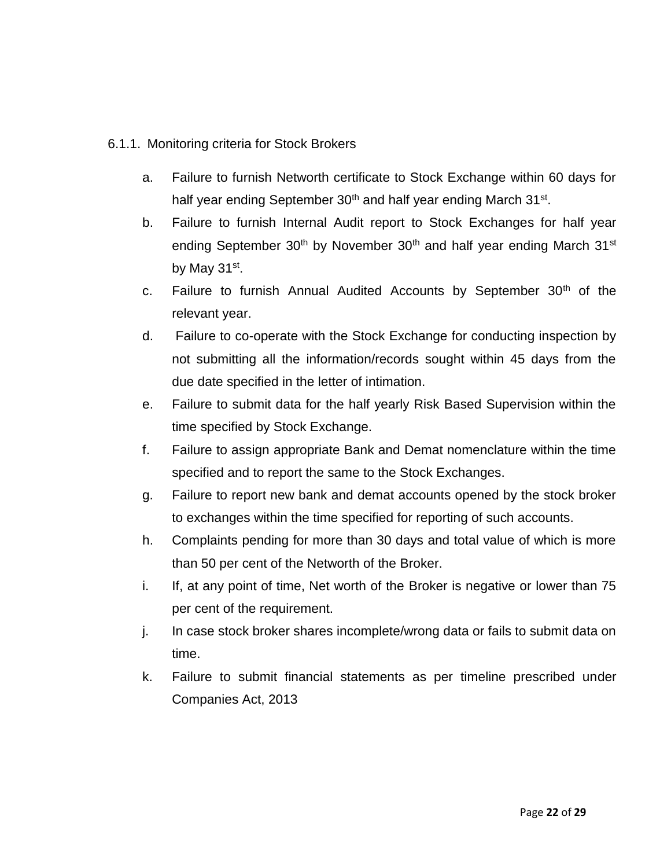### 6.1.1. Monitoring criteria for Stock Brokers

- a. Failure to furnish Networth certificate to Stock Exchange within 60 days for half year ending September 30<sup>th</sup> and half year ending March 31<sup>st</sup>.
- b. Failure to furnish Internal Audit report to Stock Exchanges for half year ending September  $30<sup>th</sup>$  by November  $30<sup>th</sup>$  and half year ending March  $31<sup>st</sup>$ by May 31<sup>st</sup>.
- c. Failure to furnish Annual Audited Accounts by September 30<sup>th</sup> of the relevant year.
- d. Failure to co-operate with the Stock Exchange for conducting inspection by not submitting all the information/records sought within 45 days from the due date specified in the letter of intimation.
- e. Failure to submit data for the half yearly Risk Based Supervision within the time specified by Stock Exchange.
- f. Failure to assign appropriate Bank and Demat nomenclature within the time specified and to report the same to the Stock Exchanges.
- g. Failure to report new bank and demat accounts opened by the stock broker to exchanges within the time specified for reporting of such accounts.
- h. Complaints pending for more than 30 days and total value of which is more than 50 per cent of the Networth of the Broker.
- i. If, at any point of time, Net worth of the Broker is negative or lower than 75 per cent of the requirement.
- j. In case stock broker shares incomplete/wrong data or fails to submit data on time.
- k. Failure to submit financial statements as per timeline prescribed under Companies Act, 2013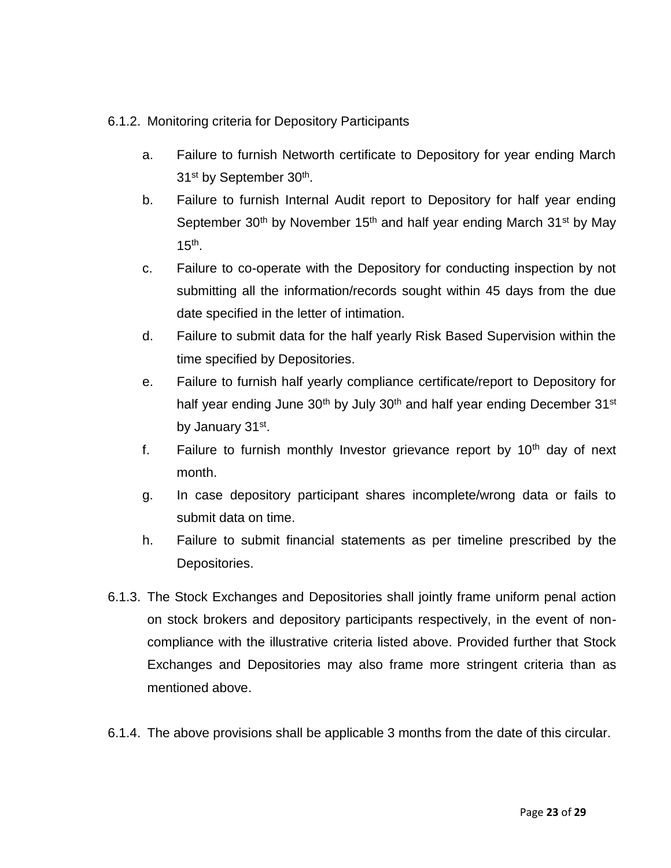## 6.1.2. Monitoring criteria for Depository Participants

- a. Failure to furnish Networth certificate to Depository for year ending March 31<sup>st</sup> by September 30<sup>th</sup>.
- b. Failure to furnish Internal Audit report to Depository for half year ending September 30<sup>th</sup> by November 15<sup>th</sup> and half year ending March 31<sup>st</sup> by May 15th .
- c. Failure to co-operate with the Depository for conducting inspection by not submitting all the information/records sought within 45 days from the due date specified in the letter of intimation.
- d. Failure to submit data for the half yearly Risk Based Supervision within the time specified by Depositories.
- e. Failure to furnish half yearly compliance certificate/report to Depository for half year ending June 30<sup>th</sup> by July 30<sup>th</sup> and half year ending December 31<sup>st</sup> by January 31st.
- f. Failure to furnish monthly Investor grievance report by  $10<sup>th</sup>$  day of next month.
- g. In case depository participant shares incomplete/wrong data or fails to submit data on time.
- h. Failure to submit financial statements as per timeline prescribed by the Depositories.
- 6.1.3. The Stock Exchanges and Depositories shall jointly frame uniform penal action on stock brokers and depository participants respectively, in the event of noncompliance with the illustrative criteria listed above. Provided further that Stock Exchanges and Depositories may also frame more stringent criteria than as mentioned above.
- 6.1.4. The above provisions shall be applicable 3 months from the date of this circular.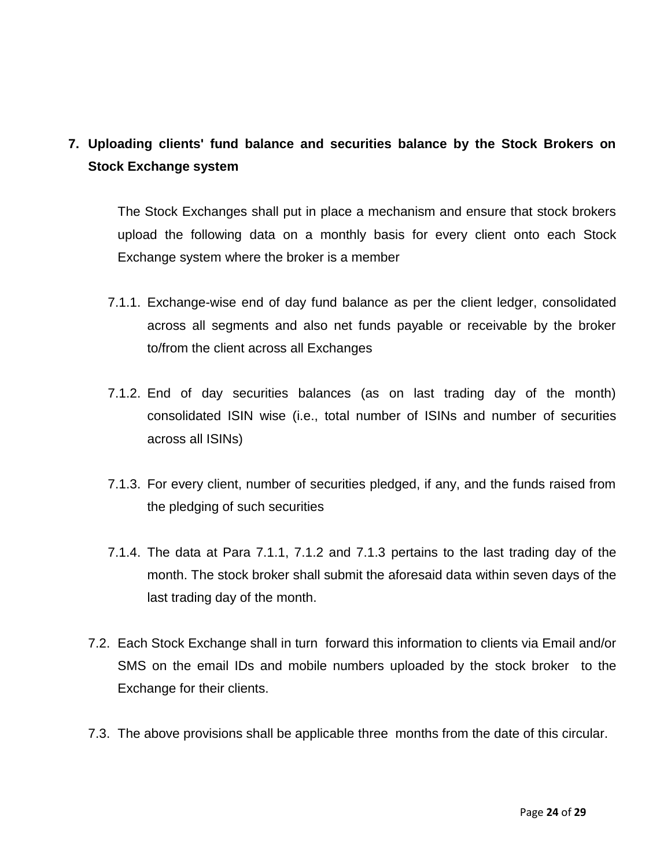# **7. Uploading clients' fund balance and securities balance by the Stock Brokers on Stock Exchange system**

The Stock Exchanges shall put in place a mechanism and ensure that stock brokers upload the following data on a monthly basis for every client onto each Stock Exchange system where the broker is a member

- 7.1.1. Exchange-wise end of day fund balance as per the client ledger, consolidated across all segments and also net funds payable or receivable by the broker to/from the client across all Exchanges
- 7.1.2. End of day securities balances (as on last trading day of the month) consolidated ISIN wise (i.e., total number of ISINs and number of securities across all ISINs)
- 7.1.3. For every client, number of securities pledged, if any, and the funds raised from the pledging of such securities
- 7.1.4. The data at Para 7.1.1, 7.1.2 and 7.1.3 pertains to the last trading day of the month. The stock broker shall submit the aforesaid data within seven days of the last trading day of the month.
- 7.2. Each Stock Exchange shall in turn forward this information to clients via Email and/or SMS on the email IDs and mobile numbers uploaded by the stock broker to the Exchange for their clients.
- 7.3. The above provisions shall be applicable three months from the date of this circular.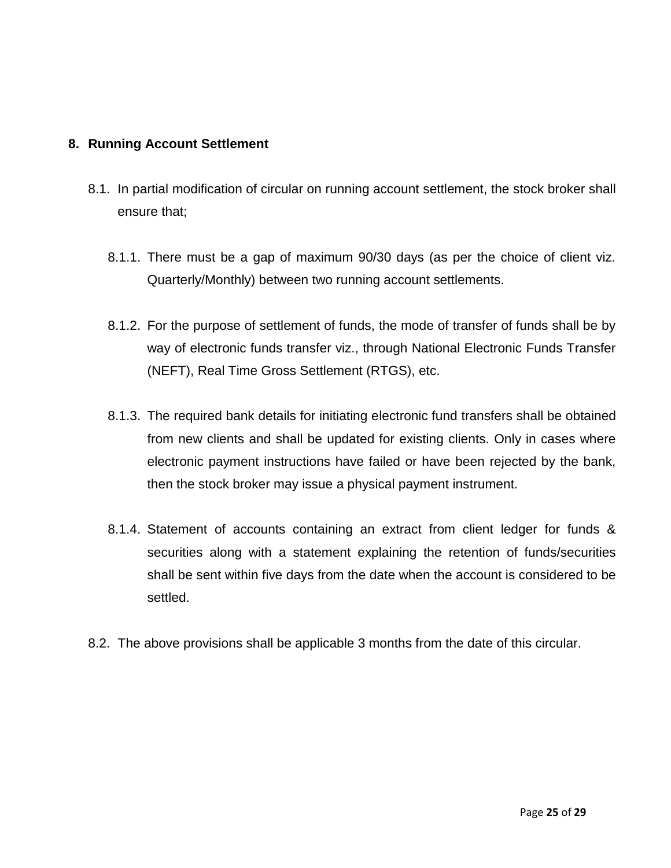### **8. Running Account Settlement**

- 8.1. In partial modification of circular on running account settlement, the stock broker shall ensure that;
	- 8.1.1. There must be a gap of maximum 90/30 days (as per the choice of client viz. Quarterly/Monthly) between two running account settlements.
	- 8.1.2. For the purpose of settlement of funds, the mode of transfer of funds shall be by way of electronic funds transfer viz., through National Electronic Funds Transfer (NEFT), Real Time Gross Settlement (RTGS), etc.
	- 8.1.3. The required bank details for initiating electronic fund transfers shall be obtained from new clients and shall be updated for existing clients. Only in cases where electronic payment instructions have failed or have been rejected by the bank, then the stock broker may issue a physical payment instrument.
	- 8.1.4. Statement of accounts containing an extract from client ledger for funds & securities along with a statement explaining the retention of funds/securities shall be sent within five days from the date when the account is considered to be settled.
- 8.2. The above provisions shall be applicable 3 months from the date of this circular.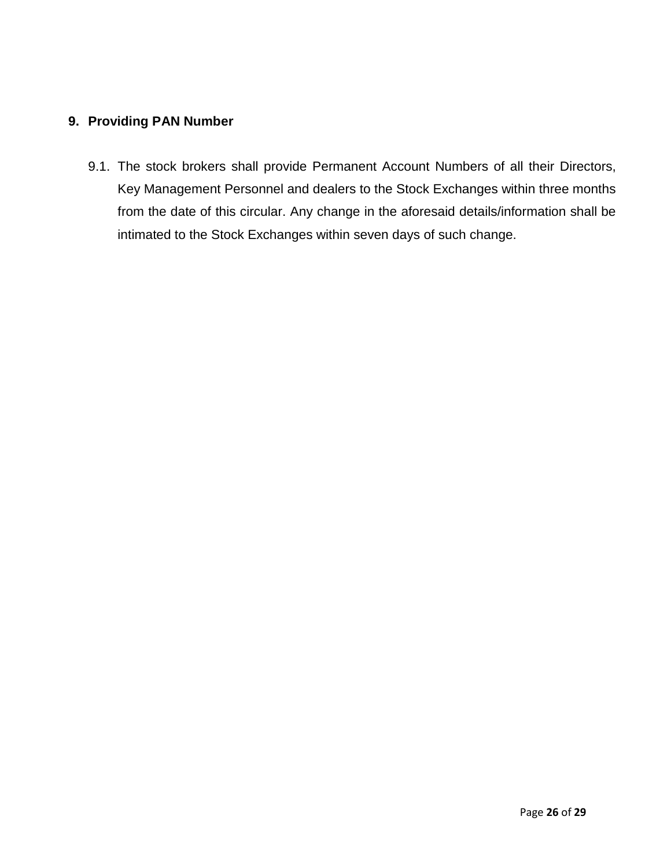### **9. Providing PAN Number**

9.1. The stock brokers shall provide Permanent Account Numbers of all their Directors, Key Management Personnel and dealers to the Stock Exchanges within three months from the date of this circular. Any change in the aforesaid details/information shall be intimated to the Stock Exchanges within seven days of such change.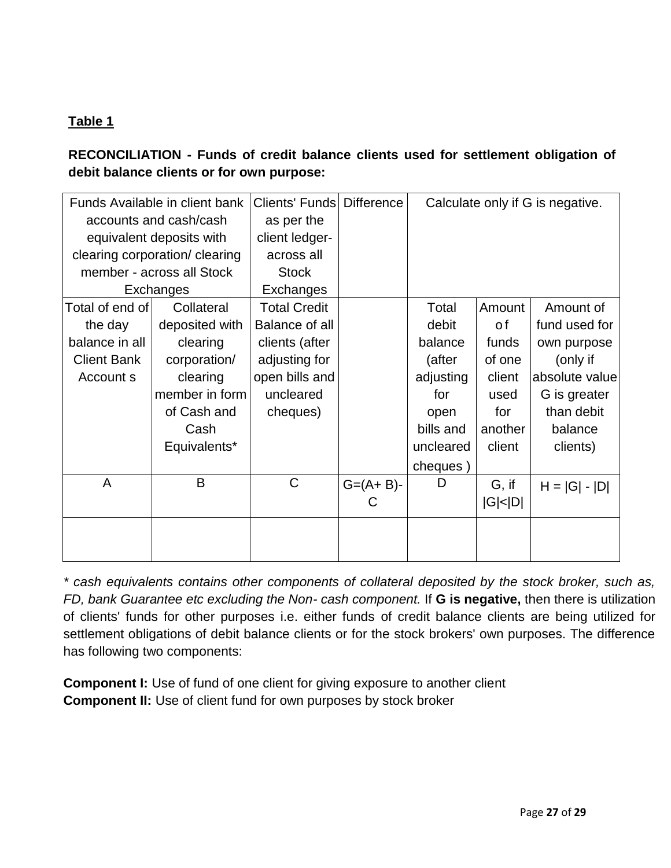## **Table 1**

**RECONCILIATION - Funds of credit balance clients used for settlement obligation of debit balance clients or for own purpose:**

| Funds Available in client bank |                                | <b>Clients' Funds Difference</b> |                 | Calculate only if G is negative. |               |                 |
|--------------------------------|--------------------------------|----------------------------------|-----------------|----------------------------------|---------------|-----------------|
| accounts and cash/cash         |                                | as per the                       |                 |                                  |               |                 |
| equivalent deposits with       |                                | client ledger-                   |                 |                                  |               |                 |
|                                | clearing corporation/ clearing | across all                       |                 |                                  |               |                 |
|                                | member - across all Stock      | <b>Stock</b>                     |                 |                                  |               |                 |
|                                | Exchanges                      | Exchanges                        |                 |                                  |               |                 |
| Total of end of l              | Collateral                     | <b>Total Credit</b>              |                 | Total                            | Amount        | Amount of       |
| the day                        | deposited with                 | Balance of all                   |                 | debit                            | 0 f           | fund used for   |
| balance in all                 | clearing                       | clients (after                   |                 | balance                          | funds         | own purpose     |
| <b>Client Bank</b>             | corporation/                   | adjusting for                    |                 | (after                           | of one        | (only if        |
| Account s                      | clearing                       | open bills and                   |                 | adjusting                        | client        | absolute value  |
|                                | member in form                 | uncleared                        |                 | for                              | used          | G is greater    |
|                                | of Cash and                    | cheques)                         |                 | open                             | for           | than debit      |
|                                | Cash                           |                                  |                 | bills and                        | another       | balance         |
|                                | Equivalents*                   |                                  |                 | uncleared                        | client        | clients)        |
|                                |                                |                                  |                 | cheques)                         |               |                 |
| A                              | B                              | $\mathsf{C}$                     | $G = (A + B) -$ | D                                | G, if         | $H =  G  -  D $ |
|                                |                                |                                  | C               |                                  | $ G $ < $ D $ |                 |
|                                |                                |                                  |                 |                                  |               |                 |
|                                |                                |                                  |                 |                                  |               |                 |
|                                |                                |                                  |                 |                                  |               |                 |

*\* cash equivalents contains other components of collateral deposited by the stock broker, such as, FD, bank Guarantee etc excluding the Non- cash component.* If **G is negative,** then there is utilization of clients' funds for other purposes i.e. either funds of credit balance clients are being utilized for settlement obligations of debit balance clients or for the stock brokers' own purposes. The difference has following two components:

**Component I:** Use of fund of one client for giving exposure to another client **Component II:** Use of client fund for own purposes by stock broker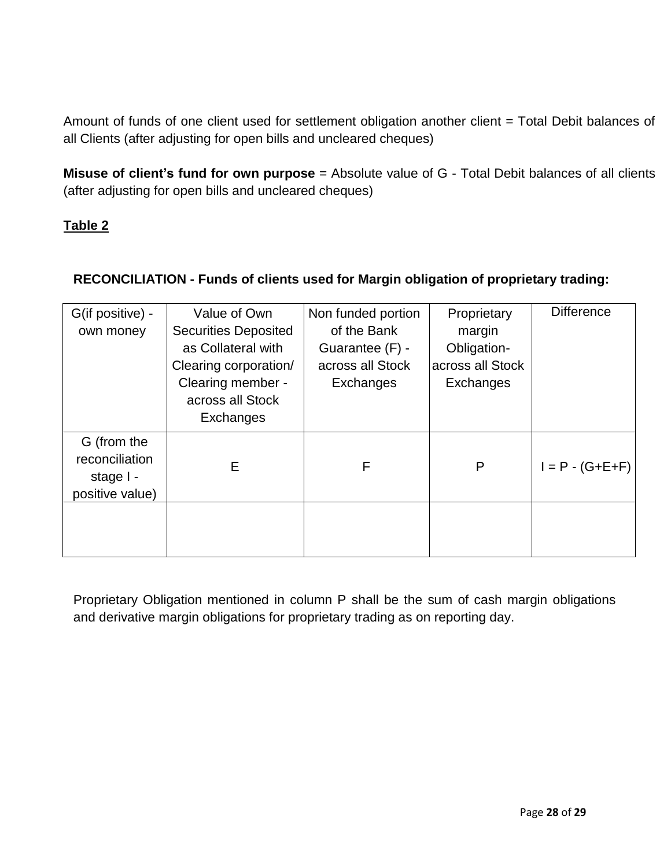Amount of funds of one client used for settlement obligation another client = Total Debit balances of all Clients (after adjusting for open bills and uncleared cheques)

**Misuse of client's fund for own purpose** = Absolute value of G - Total Debit balances of all clients (after adjusting for open bills and uncleared cheques)

## **Table 2**

## **RECONCILIATION - Funds of clients used for Margin obligation of proprietary trading:**

| G(if positive) -<br>own money                                 | Value of Own<br><b>Securities Deposited</b><br>as Collateral with<br>Clearing corporation/<br>Clearing member -<br>across all Stock<br>Exchanges | Non funded portion<br>of the Bank<br>Guarantee (F) -<br>across all Stock<br>Exchanges | Proprietary<br>margin<br>Obligation-<br>across all Stock<br>Exchanges | <b>Difference</b>     |
|---------------------------------------------------------------|--------------------------------------------------------------------------------------------------------------------------------------------------|---------------------------------------------------------------------------------------|-----------------------------------------------------------------------|-----------------------|
| G (from the<br>reconciliation<br>stage I -<br>positive value) | E                                                                                                                                                | F                                                                                     | P                                                                     | $I = P - (G + E + F)$ |
|                                                               |                                                                                                                                                  |                                                                                       |                                                                       |                       |

Proprietary Obligation mentioned in column P shall be the sum of cash margin obligations and derivative margin obligations for proprietary trading as on reporting day.